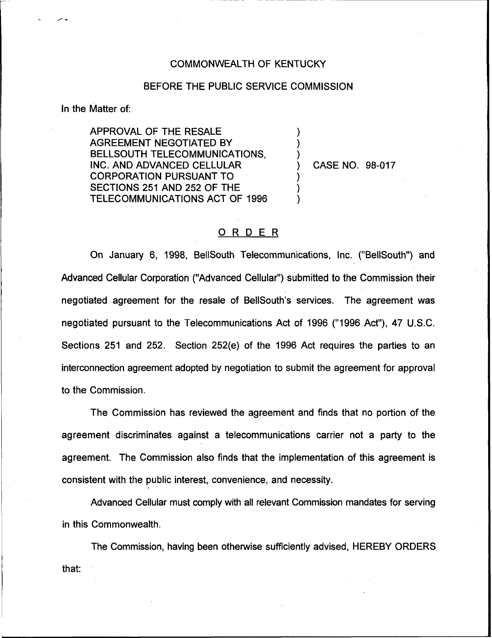## COMMONWEALTH OF KENTUCKY

## BEFORE THE PUBLIC SERVICE COMMISSION

) ) )

) ) )

In the Matter of:

APPROVAL OF THE RESALE AGREEMENT NEGOTIATED BY BELLSOUTH TELECOMMUNICATIONS, INC. AND ADVANCED CELLULAR CORPORATION PURSUANT TO SECTIONS 251 AND 252 OF THE TELECOMMUNICATIONS ACT OF 1996

) CASE NO. 98-017

## ORDER

On January 6, 1998, BellSouth Telecommunications, Inc. ("BellSouth") and Advanced Cellular Corporation ("Advanced Cellular") submitted to the Commission their negotiated agreement for the resale of BellSouth's services. The agreement was negotiated pursuant to the Telecommunications Act of 1996 ("1996 Act"), 47 U.S.C. Sections 251 and 252. Section 252(e) of the 1996 Act requires the parties to an interconnection agreement adopted by negotiation to submit the agreement for approval to the Commission.

The Commission has reviewed the agreement and finds that no portion of the agreement discriminates against a telecommunications carrier not a party to the agreement. The Commission also finds that the implementation of this agreement is consistent with the public interest, convenience, and necessity.

Advanced Cellular must comply with all relevant Commission mandates for serving in this Commonwealth.

The Commission, having been otherwise sufficiently advised, HEREBY ORDERSthat: